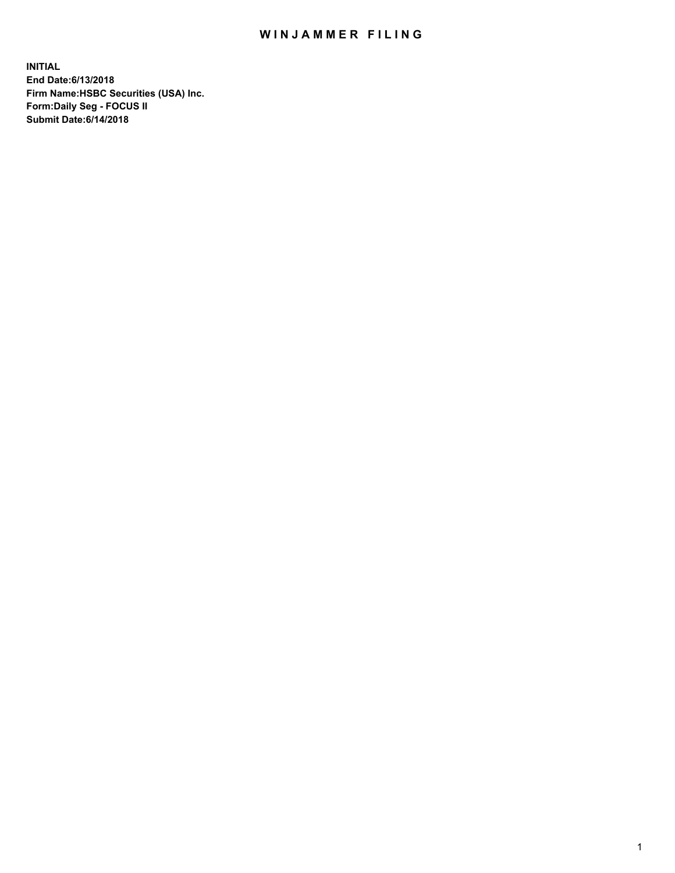## WIN JAMMER FILING

**INITIAL End Date:6/13/2018 Firm Name:HSBC Securities (USA) Inc. Form:Daily Seg - FOCUS II Submit Date:6/14/2018**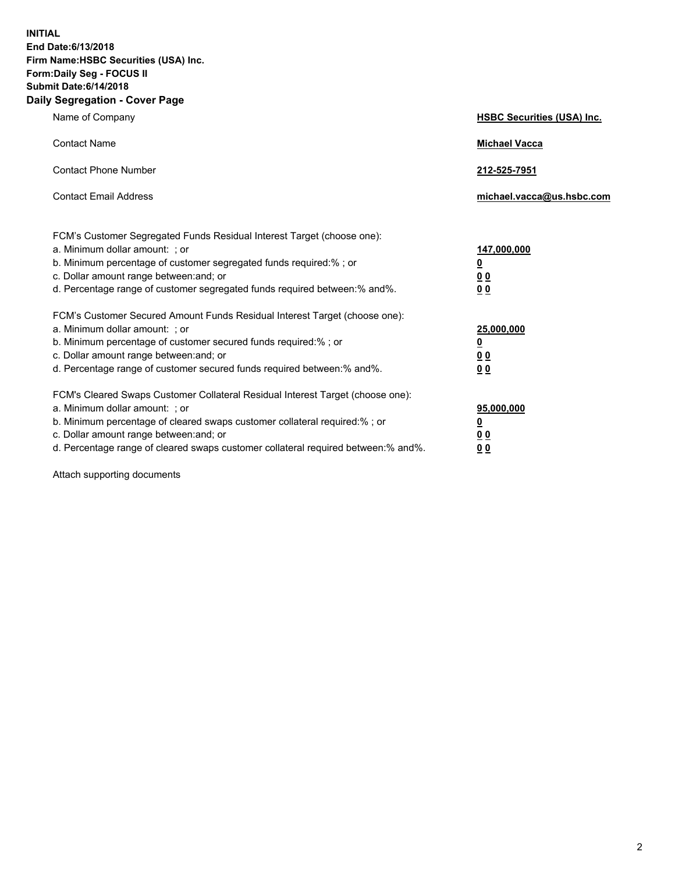**INITIAL End Date:6/13/2018 Firm Name:HSBC Securities (USA) Inc. Form:Daily Seg - FOCUS II Submit Date:6/14/2018 Daily Segregation - Cover Page**

| Name of Company                                                                                                                                                                                                                                                                                                                | <b>HSBC Securities (USA) Inc.</b>                                           |
|--------------------------------------------------------------------------------------------------------------------------------------------------------------------------------------------------------------------------------------------------------------------------------------------------------------------------------|-----------------------------------------------------------------------------|
| <b>Contact Name</b>                                                                                                                                                                                                                                                                                                            | <b>Michael Vacca</b>                                                        |
| <b>Contact Phone Number</b>                                                                                                                                                                                                                                                                                                    | 212-525-7951                                                                |
| <b>Contact Email Address</b>                                                                                                                                                                                                                                                                                                   | michael.vacca@us.hsbc.com                                                   |
| FCM's Customer Segregated Funds Residual Interest Target (choose one):<br>a. Minimum dollar amount: ; or<br>b. Minimum percentage of customer segregated funds required:% ; or<br>c. Dollar amount range between: and; or<br>d. Percentage range of customer segregated funds required between:% and%.                         | 147,000,000<br>$\underline{\mathbf{0}}$<br>0 <sub>0</sub><br>0 <sub>0</sub> |
| FCM's Customer Secured Amount Funds Residual Interest Target (choose one):<br>a. Minimum dollar amount: ; or<br>b. Minimum percentage of customer secured funds required:% ; or<br>c. Dollar amount range between: and; or<br>d. Percentage range of customer secured funds required between: % and %.                         | 25,000,000<br><u>0</u><br>0 <sub>0</sub><br>0 <sub>0</sub>                  |
| FCM's Cleared Swaps Customer Collateral Residual Interest Target (choose one):<br>a. Minimum dollar amount: ; or<br>b. Minimum percentage of cleared swaps customer collateral required:% ; or<br>c. Dollar amount range between: and; or<br>d. Percentage range of cleared swaps customer collateral required between:% and%. | 95,000,000<br><u>0</u><br>00<br>00                                          |

Attach supporting documents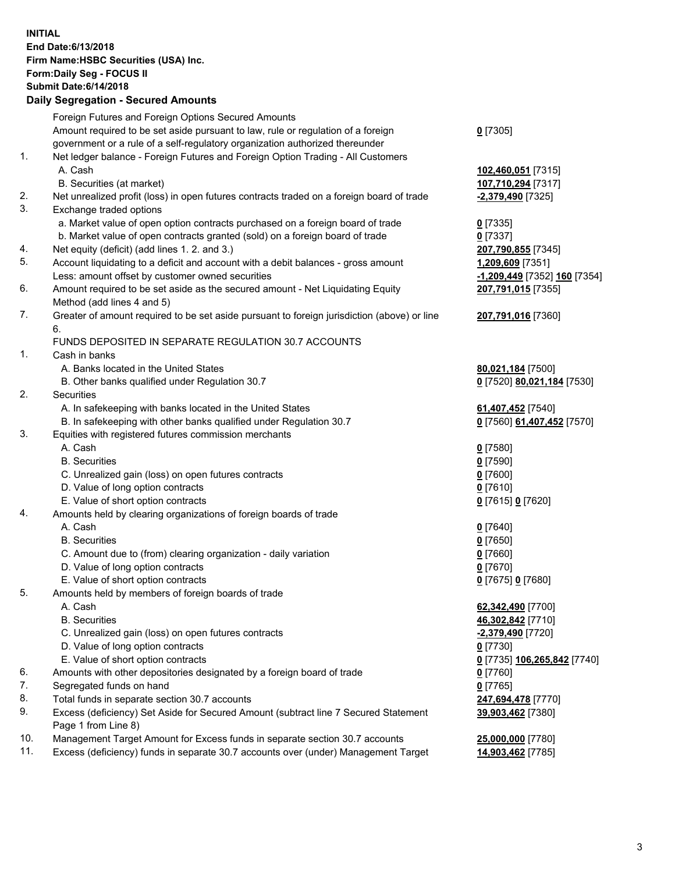**INITIAL End Date:6/13/2018 Firm Name:HSBC Securities (USA) Inc. Form:Daily Seg - FOCUS II Submit Date:6/14/2018 Daily Segregation - Secured Amounts**

|     | Daily Segregation - Secured Amounts                                                         |                                |
|-----|---------------------------------------------------------------------------------------------|--------------------------------|
|     | Foreign Futures and Foreign Options Secured Amounts                                         |                                |
|     | Amount required to be set aside pursuant to law, rule or regulation of a foreign            | $0$ [7305]                     |
|     | government or a rule of a self-regulatory organization authorized thereunder                |                                |
| 1.  | Net ledger balance - Foreign Futures and Foreign Option Trading - All Customers             |                                |
|     | A. Cash                                                                                     | 102,460,051 [7315]             |
|     | B. Securities (at market)                                                                   | 107,710,294 [7317]             |
| 2.  | Net unrealized profit (loss) in open futures contracts traded on a foreign board of trade   | -2,379,490 [7325]              |
| 3.  | Exchange traded options                                                                     |                                |
|     | a. Market value of open option contracts purchased on a foreign board of trade              | $0$ [7335]                     |
|     | b. Market value of open contracts granted (sold) on a foreign board of trade                | $0$ [7337]                     |
| 4.  | Net equity (deficit) (add lines 1. 2. and 3.)                                               | 207,790,855 [7345]             |
| 5.  | Account liquidating to a deficit and account with a debit balances - gross amount           | 1,209,609 [7351]               |
|     | Less: amount offset by customer owned securities                                            | -1,209,449 [7352] 160 [7354]   |
| 6.  | Amount required to be set aside as the secured amount - Net Liquidating Equity              | 207,791,015 [7355]             |
|     | Method (add lines 4 and 5)                                                                  |                                |
| 7.  | Greater of amount required to be set aside pursuant to foreign jurisdiction (above) or line | 207,791,016 [7360]             |
|     | 6.                                                                                          |                                |
|     | FUNDS DEPOSITED IN SEPARATE REGULATION 30.7 ACCOUNTS                                        |                                |
| 1.  | Cash in banks                                                                               |                                |
|     | A. Banks located in the United States                                                       | 80,021,184 [7500]              |
|     | B. Other banks qualified under Regulation 30.7                                              | 0 [7520] 80,021,184 [7530]     |
| 2.  | Securities                                                                                  |                                |
|     | A. In safekeeping with banks located in the United States                                   | 61,407,452 [7540]              |
|     | B. In safekeeping with other banks qualified under Regulation 30.7                          | 0 [7560] 61,407,452 [7570]     |
| 3.  | Equities with registered futures commission merchants                                       |                                |
|     | A. Cash                                                                                     | $0$ [7580]                     |
|     | <b>B.</b> Securities                                                                        | $0$ [7590]                     |
|     | C. Unrealized gain (loss) on open futures contracts                                         | $0$ [7600]                     |
|     | D. Value of long option contracts                                                           | $0$ [7610]                     |
|     | E. Value of short option contracts                                                          | 0 [7615] 0 [7620]              |
| 4.  | Amounts held by clearing organizations of foreign boards of trade                           |                                |
|     | A. Cash                                                                                     | $0$ [7640]                     |
|     | <b>B.</b> Securities                                                                        | $0$ [7650]                     |
|     | C. Amount due to (from) clearing organization - daily variation                             | $0$ [7660]                     |
|     | D. Value of long option contracts                                                           | $0$ [7670]                     |
|     | E. Value of short option contracts                                                          | 0 [7675] 0 [7680]              |
| 5.  | Amounts held by members of foreign boards of trade                                          |                                |
|     | A. Cash                                                                                     | 62,342,490 [7700]              |
|     | <b>B.</b> Securities                                                                        | 46,302,842 [7710]              |
|     | C. Unrealized gain (loss) on open futures contracts                                         | <mark>-2,379,490</mark> [7720] |
|     | D. Value of long option contracts                                                           | $0$ [7730]                     |
|     | E. Value of short option contracts                                                          | 0 [7735] 106,265,842 [7740]    |
| 6.  | Amounts with other depositories designated by a foreign board of trade                      | 0 [7760]                       |
| 7.  | Segregated funds on hand                                                                    | $0$ [7765]                     |
| 8.  | Total funds in separate section 30.7 accounts                                               | 247,694,478 [7770]             |
| 9.  | Excess (deficiency) Set Aside for Secured Amount (subtract line 7 Secured Statement         | 39,903,462 [7380]              |
|     | Page 1 from Line 8)                                                                         |                                |
| 10. | Management Target Amount for Excess funds in separate section 30.7 accounts                 | 25,000,000 [7780]              |
| 11. | Excess (deficiency) funds in separate 30.7 accounts over (under) Management Target          | 14,903,462 [7785]              |
|     |                                                                                             |                                |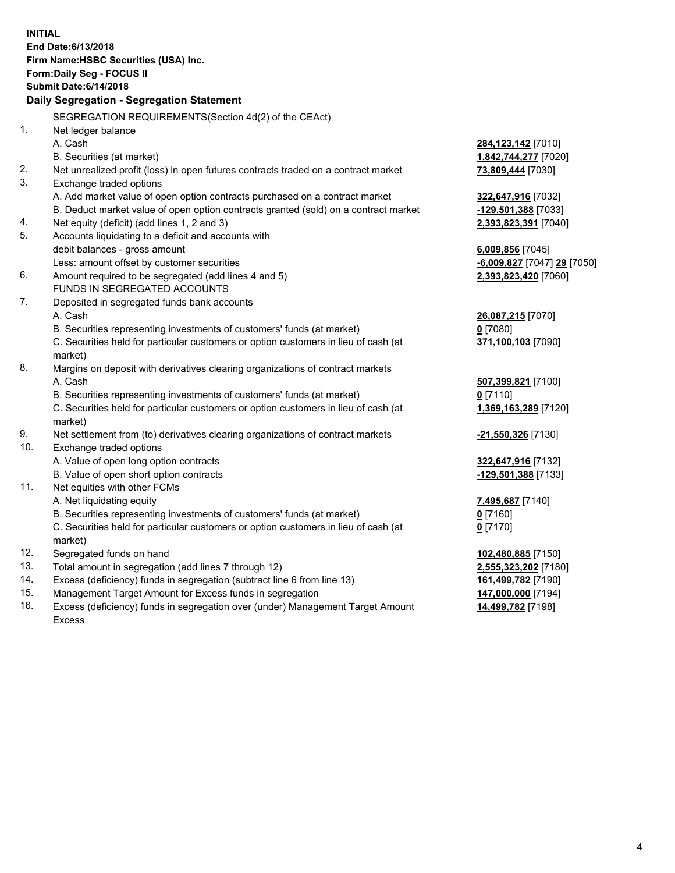|     | <b>INITIAL</b><br>End Date: 6/13/2018<br>Firm Name: HSBC Securities (USA) Inc.<br><b>Form:Daily Seg - FOCUS II</b><br><b>Submit Date: 6/14/2018</b><br>Daily Segregation - Segregation Statement |                             |
|-----|--------------------------------------------------------------------------------------------------------------------------------------------------------------------------------------------------|-----------------------------|
|     | SEGREGATION REQUIREMENTS(Section 4d(2) of the CEAct)                                                                                                                                             |                             |
| 1.  | Net ledger balance                                                                                                                                                                               |                             |
|     | A. Cash                                                                                                                                                                                          | 284,123,142 [7010]          |
|     | B. Securities (at market)                                                                                                                                                                        | 1,842,744,277 [7020]        |
| 2.  | Net unrealized profit (loss) in open futures contracts traded on a contract market                                                                                                               | 73,809,444 [7030]           |
| 3.  | Exchange traded options                                                                                                                                                                          |                             |
|     | A. Add market value of open option contracts purchased on a contract market                                                                                                                      | 322,647,916 [7032]          |
|     | B. Deduct market value of open option contracts granted (sold) on a contract market                                                                                                              | -129,501,388 [7033]         |
| 4.  | Net equity (deficit) (add lines 1, 2 and 3)                                                                                                                                                      | 2,393,823,391 [7040]        |
| 5.  | Accounts liquidating to a deficit and accounts with                                                                                                                                              |                             |
|     | debit balances - gross amount                                                                                                                                                                    | 6,009,856 [7045]            |
|     | Less: amount offset by customer securities                                                                                                                                                       | -6,009,827 [7047] 29 [7050] |
| 6.  | Amount required to be segregated (add lines 4 and 5)                                                                                                                                             | 2,393,823,420 [7060]        |
|     | FUNDS IN SEGREGATED ACCOUNTS                                                                                                                                                                     |                             |
| 7.  | Deposited in segregated funds bank accounts                                                                                                                                                      |                             |
|     | A. Cash                                                                                                                                                                                          | 26,087,215 [7070]           |
|     | B. Securities representing investments of customers' funds (at market)                                                                                                                           | $0$ [7080]                  |
|     | C. Securities held for particular customers or option customers in lieu of cash (at<br>market)                                                                                                   | 371,100,103 [7090]          |
| 8.  | Margins on deposit with derivatives clearing organizations of contract markets                                                                                                                   |                             |
|     | A. Cash                                                                                                                                                                                          | 507,399,821 [7100]          |
|     | B. Securities representing investments of customers' funds (at market)                                                                                                                           | $0$ [7110]                  |
|     | C. Securities held for particular customers or option customers in lieu of cash (at<br>market)                                                                                                   | 1,369,163,289 [7120]        |
| 9.  | Net settlement from (to) derivatives clearing organizations of contract markets                                                                                                                  | -21,550,326 [7130]          |
| 10. | Exchange traded options                                                                                                                                                                          |                             |
|     | A. Value of open long option contracts                                                                                                                                                           | 322,647,916 [7132]          |
|     | B. Value of open short option contracts                                                                                                                                                          | -129,501,388 [7133]         |
| 11. | Net equities with other FCMs                                                                                                                                                                     |                             |
|     | A. Net liquidating equity                                                                                                                                                                        | 7,495,687 [7140]            |
|     | B. Securities representing investments of customers' funds (at market)                                                                                                                           | $0$ [7160]                  |
|     | C. Securities held for particular customers or option customers in lieu of cash (at                                                                                                              | $0$ [7170]                  |
|     | market)                                                                                                                                                                                          |                             |
| 12. | Segregated funds on hand                                                                                                                                                                         | 102,480,885 [7150]          |
| 13. | Total amount in segregation (add lines 7 through 12)                                                                                                                                             | 2,555,323,202 [7180]        |
| 14. | Excess (deficiency) funds in segregation (subtract line 6 from line 13)                                                                                                                          | 161,499,782 [7190]          |
| 15. | Management Target Amount for Excess funds in segregation                                                                                                                                         | 147,000,000 [7194]          |

16. Excess (deficiency) funds in segregation over (under) Management Target Amount Excess

**14,499,782** [7198]